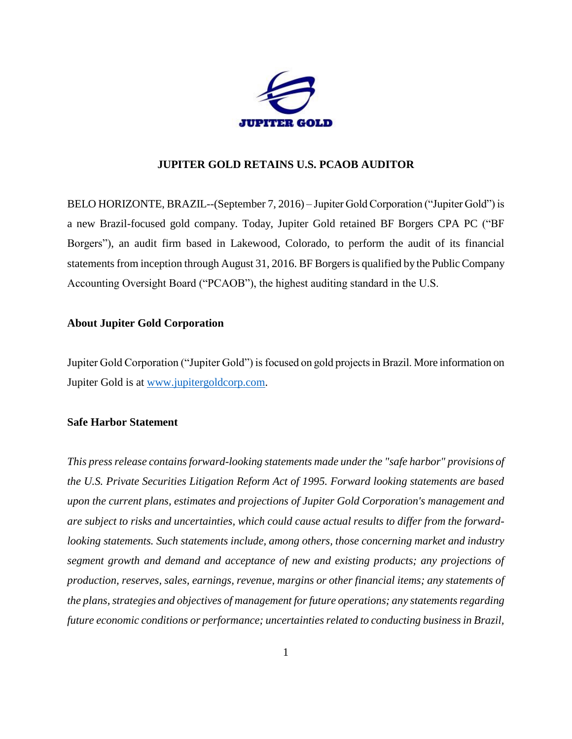

## **JUPITER GOLD RETAINS U.S. PCAOB AUDITOR**

BELO HORIZONTE, BRAZIL--(September 7, 2016) – Jupiter Gold Corporation ("Jupiter Gold") is a new Brazil-focused gold company. Today, Jupiter Gold retained BF Borgers CPA PC ("BF Borgers"), an audit firm based in Lakewood, Colorado, to perform the audit of its financial statements from inception through August 31, 2016. BF Borgers is qualified by the Public Company Accounting Oversight Board ("PCAOB"), the highest auditing standard in the U.S.

## **About Jupiter Gold Corporation**

Jupiter Gold Corporation ("Jupiter Gold") is focused on gold projects in Brazil. More information on Jupiter Gold is at [www.jupitergoldcorp.com.](../../../../../../../../../../../../../../../Downloads/www.jupitergoldcorp.com)

## **Safe Harbor Statement**

*This press release contains forward-looking statements made under the "safe harbor" provisions of the U.S. Private Securities Litigation Reform Act of 1995. Forward looking statements are based upon the current plans, estimates and projections of Jupiter Gold Corporation's management and are subject to risks and uncertainties, which could cause actual results to differ from the forwardlooking statements. Such statements include, among others, those concerning market and industry segment growth and demand and acceptance of new and existing products; any projections of production, reserves, sales, earnings, revenue, margins or other financial items; any statements of the plans, strategies and objectives of management for future operations; any statements regarding future economic conditions or performance; uncertainties related to conducting business in Brazil,*